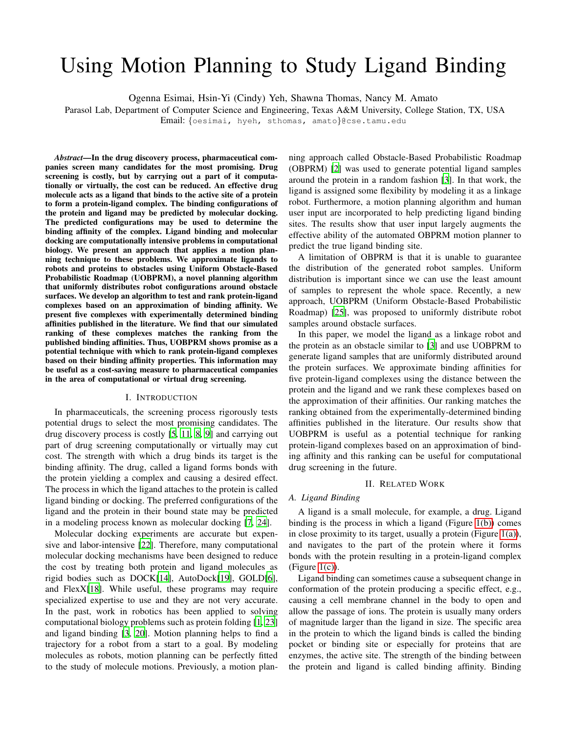# Using Motion Planning to Study Ligand Binding

Ogenna Esimai, Hsin-Yi (Cindy) Yeh, Shawna Thomas, Nancy M. Amato

Parasol Lab, Department of Computer Science and Engineering, Texas A&M University, College Station, TX, USA

Email: {oesimai, hyeh, sthomas, amato}@cse.tamu.edu

*Abstract*—In the drug discovery process, pharmaceutical companies screen many candidates for the most promising. Drug screening is costly, but by carrying out a part of it computationally or virtually, the cost can be reduced. An effective drug molecule acts as a ligand that binds to the active site of a protein to form a protein-ligand complex. The binding configurations of the protein and ligand may be predicted by molecular docking. The predicted configurations may be used to determine the binding affinity of the complex. Ligand binding and molecular docking are computationally intensive problems in computational biology. We present an approach that applies a motion planning technique to these problems. We approximate ligands to robots and proteins to obstacles using Uniform Obstacle-Based Probabilistic Roadmap (UOBPRM), a novel planning algorithm that uniformly distributes robot configurations around obstacle surfaces. We develop an algorithm to test and rank protein-ligand complexes based on an approximation of binding affinity. We present five complexes with experimentally determined binding affinities published in the literature. We find that our simulated ranking of these complexes matches the ranking from the published binding affinities. Thus, UOBPRM shows promise as a potential technique with which to rank protein-ligand complexes based on their binding affinity properties. This information may be useful as a cost-saving measure to pharmaceutical companies in the area of computational or virtual drug screening.

### I. INTRODUCTION

In pharmaceuticals, the screening process rigorously tests potential drugs to select the most promising candidates. The drug discovery process is costly [\[5](#page-3-0), [11,](#page-4-0) [8](#page-3-1), [9\]](#page-4-1) and carrying out part of drug screening computationally or virtually may cut cost. The strength with which a drug binds its target is the binding affinity. The drug, called a ligand forms bonds with the protein yielding a complex and causing a desired effect. The process in which the ligand attaches to the protein is called ligand binding or docking. The preferred configurations of the ligand and the protein in their bound state may be predicted in a modeling process known as molecular docking [\[7,](#page-3-2) [24\]](#page-5-0).

Molecular docking experiments are accurate but expensive and labor-intensive [\[22\]](#page-5-1). Therefore, many computational molecular docking mechanisms have been designed to reduce the cost by treating both protein and ligand molecules as rigid bodies such as DOCK[\[14\]](#page-4-2), AutoDock[\[19\]](#page-4-3), GOLD[\[6](#page-3-3)], and FlexX[\[18\]](#page-4-4). While useful, these programs may require specialized expertise to use and they are not very accurate. In the past, work in robotics has been applied to solving computational biology problems such as protein folding [\[1,](#page-3-4) [23\]](#page-5-2) and ligand binding [\[3,](#page-3-5) [20](#page-4-5)]. Motion planning helps to find a trajectory for a robot from a start to a goal. By modeling molecules as robots, motion planning can be perfectly fitted to the study of molecule motions. Previously, a motion planning approach called Obstacle-Based Probabilistic Roadmap (OBPRM) [\[2\]](#page-3-6) was used to generate potential ligand samples around the protein in a random fashion [\[3\]](#page-3-5). In that work, the ligand is assigned some flexibility by modeling it as a linkage robot. Furthermore, a motion planning algorithm and human user input are incorporated to help predicting ligand binding sites. The results show that user input largely augments the effective ability of the automated OBPRM motion planner to predict the true ligand binding site.

A limitation of OBPRM is that it is unable to guarantee the distribution of the generated robot samples. Uniform distribution is important since we can use the least amount of samples to represent the whole space. Recently, a new approach, UOBPRM (Uniform Obstacle-Based Probabilistic Roadmap) [\[25\]](#page-5-3), was proposed to uniformly distribute robot samples around obstacle surfaces.

In this paper, we model the ligand as a linkage robot and the protein as an obstacle similar to [\[3](#page-3-5)] and use UOBPRM to generate ligand samples that are uniformly distributed around the protein surfaces. We approximate binding affinities for five protein-ligand complexes using the distance between the protein and the ligand and we rank these complexes based on the approximation of their affinities. Our ranking matches the ranking obtained from the experimentally-determined binding affinities published in the literature. Our results show that UOBPRM is useful as a potential technique for ranking protein-ligand complexes based on an approximation of binding affinity and this ranking can be useful for computational drug screening in the future.

## II. RELATED WORK

## *A. Ligand Binding*

A ligand is a small molecule, for example, a drug. Ligand binding is the process in which a ligand (Figure [1\(b\)\)](#page-1-0) comes in close proximity to its target, usually a protein (Figure  $1(a)$ ), and navigates to the part of the protein where it forms bonds with the protein resulting in a protein-ligand complex  $(Figure 1(c))$  $(Figure 1(c))$ .

Ligand binding can sometimes cause a subsequent change in conformation of the protein producing a specific effect, e.g., causing a cell membrane channel in the body to open and allow the passage of ions. The protein is usually many orders of magnitude larger than the ligand in size. The specific area in the protein to which the ligand binds is called the binding pocket or binding site or especially for proteins that are enzymes, the active site. The strength of the binding between the protein and ligand is called binding affinity. Binding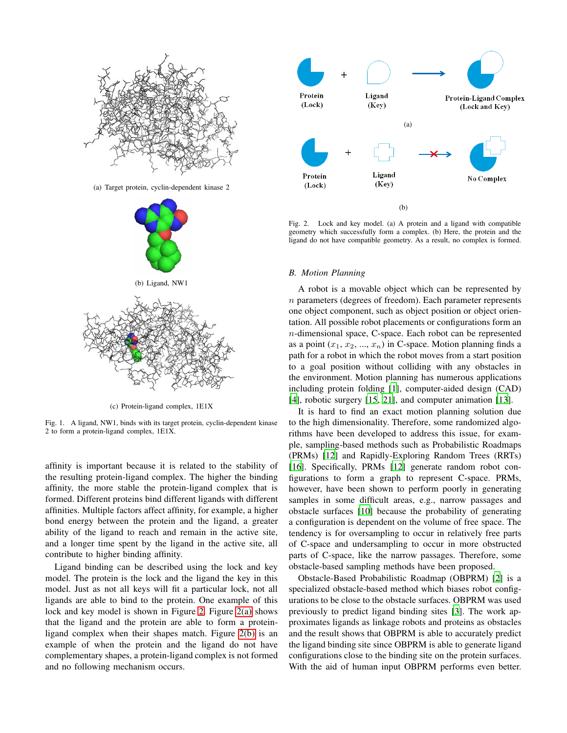<span id="page-1-1"></span>

<span id="page-1-2"></span><span id="page-1-0"></span>(c) Protein-ligand complex, 1E1X

Fig. 1. A ligand, NW1, binds with its target protein, cyclin-dependent kinase 2 to form a protein-ligand complex, 1E1X.

affinity is important because it is related to the stability of the resulting protein-ligand complex. The higher the binding affinity, the more stable the protein-ligand complex that is formed. Different proteins bind different ligands with different affinities. Multiple factors affect affinity, for example, a higher bond energy between the protein and the ligand, a greater ability of the ligand to reach and remain in the active site, and a longer time spent by the ligand in the active site, all contribute to higher binding affinity.

Ligand binding can be described using the lock and key model. The protein is the lock and the ligand the key in this model. Just as not all keys will fit a particular lock, not all ligands are able to bind to the protein. One example of this lock and key model is shown in Figure [2.](#page-1-3) Figure [2\(a\)](#page-1-4) shows that the ligand and the protein are able to form a proteinligand complex when their shapes match. Figure [2\(b\)](#page-1-5) is an example of when the protein and the ligand do not have complementary shapes, a protein-ligand complex is not formed and no following mechanism occurs.

<span id="page-1-4"></span>

<span id="page-1-5"></span><span id="page-1-3"></span>Fig. 2. Lock and key model. (a) A protein and a ligand with compatible geometry which successfully form a complex. (b) Here, the protein and the ligand do not have compatible geometry. As a result, no complex is formed.

#### *B. Motion Planning*

A robot is a movable object which can be represented by  $n$  parameters (degrees of freedom). Each parameter represents one object component, such as object position or object orientation. All possible robot placements or configurations form an n-dimensional space, C-space. Each robot can be represented as a point  $(x_1, x_2, ..., x_n)$  in C-space. Motion planning finds a path for a robot in which the robot moves from a start position to a goal position without colliding with any obstacles in the environment. Motion planning has numerous applications including protein folding [\[1](#page-3-4)], computer-aided design (CAD) [\[4](#page-3-7)], robotic surgery [\[15,](#page-4-6) [21\]](#page-4-7), and computer animation [\[13\]](#page-4-8).

It is hard to find an exact motion planning solution due to the high dimensionality. Therefore, some randomized algorithms have been developed to address this issue, for example, sampling-based methods such as Probabilistic Roadmaps (PRMs) [\[12\]](#page-4-9) and Rapidly-Exploring Random Trees (RRTs) [\[16](#page-4-10)]. Specifically, PRMs [\[12\]](#page-4-9) generate random robot configurations to form a graph to represent C-space. PRMs, however, have been shown to perform poorly in generating samples in some difficult areas, e.g., narrow passages and obstacle surfaces [\[10\]](#page-4-11) because the probability of generating a configuration is dependent on the volume of free space. The tendency is for oversampling to occur in relatively free parts of C-space and undersampling to occur in more obstructed parts of C-space, like the narrow passages. Therefore, some obstacle-based sampling methods have been proposed.

Obstacle-Based Probabilistic Roadmap (OBPRM) [\[2](#page-3-6)] is a specialized obstacle-based method which biases robot configurations to be close to the obstacle surfaces. OBPRM was used previously to predict ligand binding sites [\[3\]](#page-3-5). The work approximates ligands as linkage robots and proteins as obstacles and the result shows that OBPRM is able to accurately predict the ligand binding site since OBPRM is able to generate ligand configurations close to the binding site on the protein surfaces. With the aid of human input OBPRM performs even better.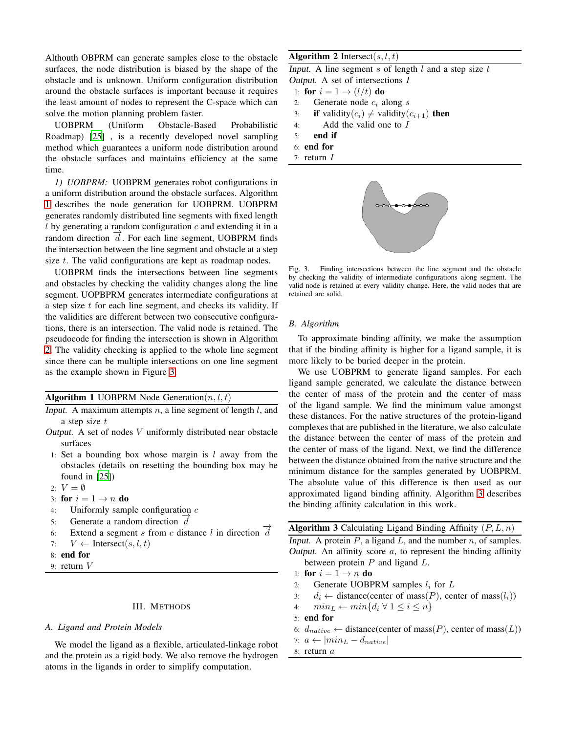Althouth OBPRM can generate samples close to the obstacle surfaces, the node distribution is biased by the shape of the obstacle and is unknown. Uniform configuration distribution around the obstacle surfaces is important because it requires the least amount of nodes to represent the C-space which can solve the motion planning problem faster.

UOBPRM (Uniform Obstacle-Based Probabilistic Roadmap) [\[25\]](#page-5-3) , is a recently developed novel sampling method which guarantees a uniform node distribution around the obstacle surfaces and maintains efficiency at the same time.

*1) UOBPRM:* UOBPRM generates robot configurations in a uniform distribution around the obstacle surfaces. Algorithm [1](#page-2-0) describes the node generation for UOBPRM. UOBPRM generates randomly distributed line segments with fixed length l by generating a random configuration  $c$  and extending it in a random direction  $\overrightarrow{d}$ . For each line segment, UOBPRM finds the intersection between the line segment and obstacle at a step size t. The valid configurations are kept as roadmap nodes.

UOBPRM finds the intersections between line segments and obstacles by checking the validity changes along the line segment. UOPBPRM generates intermediate configurations at a step size  $t$  for each line segment, and checks its validity. If the validities are different between two consecutive configurations, there is an intersection. The valid node is retained. The pseudocode for finding the intersection is shown in Algorithm [2.](#page-2-0) The validity checking is applied to the whole line segment since there can be multiple intersections on one line segment as the example shown in Figure [3.](#page-2-1)

### **Algorithm 1 UOBPRM Node Generation** $(n, l, t)$

- Input. A maximum attempts  $n$ , a line segment of length l, and a step size t
- Output. A set of nodes V uniformly distributed near obstacle surfaces
- 1: Set a bounding box whose margin is  $l$  away from the obstacles (details on resetting the bounding box may be found in [\[25](#page-5-3)])
- 2:  $V = \emptyset$
- 3: for  $i = 1 \rightarrow n$  do
- 4: Uniformly sample configuration c
- 5: Generate a random direction  $\overrightarrow{d}$
- 6: Extend a segment s from c distance l in direction  $\overrightarrow{d}$
- 7:  $V \leftarrow \text{Interest}(s, l, t)$
- 8: end for
- 9: return  $V$

## III. METHODS

#### *A. Ligand and Protein Models*

We model the ligand as a flexible, articulated-linkage robot and the protein as a rigid body. We also remove the hydrogen atoms in the ligands in order to simplify computation.

## Algorithm 2 Intersect(s,  $l, t$ )

Input. A line segment  $s$  of length  $l$  and a step size  $t$ Output. A set of intersections I

- 1: for  $i = 1 \rightarrow (l/t)$  do
- 2: Generate node  $c_i$  along s
- 3: if validity( $c_i$ )  $\neq$  validity( $c_{i+1}$ ) then
- 4: Add the valid one to I
- 5: end if
- 6: end for
- 7: return I



<span id="page-2-1"></span>Fig. 3. Finding intersections between the line segment and the obstacle by checking the validity of intermediate configurations along segment. The valid node is retained at every validity change. Here, the valid nodes that are retained are solid.

#### *B. Algorithm*

To approximate binding affinity, we make the assumption that if the binding affinity is higher for a ligand sample, it is more likely to be buried deeper in the protein.

We use UOBPRM to generate ligand samples. For each ligand sample generated, we calculate the distance between the center of mass of the protein and the center of mass of the ligand sample. We find the minimum value amongst these distances. For the native structures of the protein-ligand complexes that are published in the literature, we also calculate the distance between the center of mass of the protein and the center of mass of the ligand. Next, we find the difference between the distance obtained from the native structure and the minimum distance for the samples generated by UOBPRM. The absolute value of this difference is then used as our approximated ligand binding affinity. Algorithm [3](#page-2-0) describes the binding affinity calculation in this work.

```
Algorithm 3 Calculating Ligand Binding Affinity (P, L, n)
```
Input. A protein  $P$ , a ligand  $L$ , and the number  $n$ , of samples. Output. An affinity score  $a$ , to represent the binding affinity between protein  $P$  and ligand  $L$ .

- 1: for  $i = 1 \rightarrow n$  do
- 2: Generate UOBPRM samples  $l_i$  for  $L$
- 3:  $d_i \leftarrow \text{distance}(\text{center of mass}(P), \text{center of mass}(l_i))$
- 4:  $min_L \leftarrow min\{d_i | \forall 1 \leq i \leq n\}$
- 5: end for
- 6:  $d_{native} \leftarrow distance(center of mass(P), center of mass(L))$
- <span id="page-2-0"></span>7:  $a \leftarrow |min_L - d_{native}|$
- 8: return a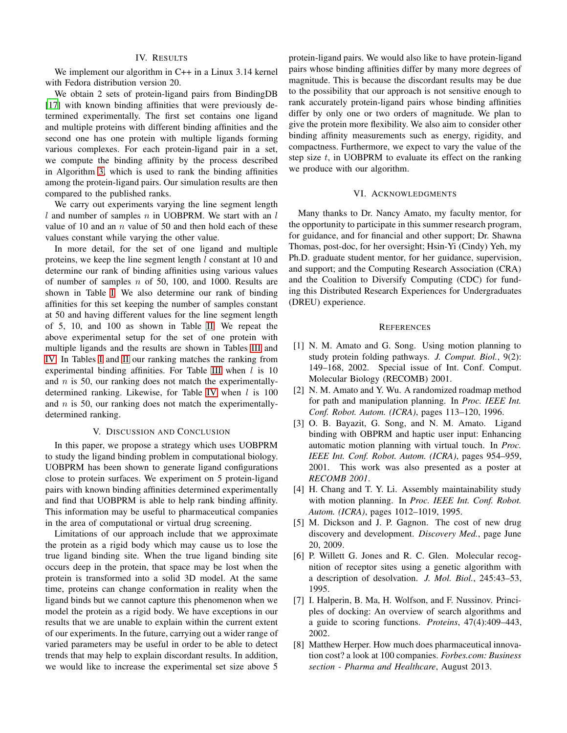#### IV. RESULTS

We implement our algorithm in C++ in a Linux 3.14 kernel with Fedora distribution version 20.

We obtain 2 sets of protein-ligand pairs from BindingDB [\[17](#page-4-12)] with known binding affinities that were previously determined experimentally. The first set contains one ligand and multiple proteins with different binding affinities and the second one has one protein with multiple ligands forming various complexes. For each protein-ligand pair in a set, we compute the binding affinity by the process described in Algorithm [3,](#page-2-0) which is used to rank the binding affinities among the protein-ligand pairs. Our simulation results are then compared to the published ranks.

We carry out experiments varying the line segment length l and number of samples  $n$  in UOBPRM. We start with an  $l$ value of 10 and an  $n$  value of 50 and then hold each of these values constant while varying the other value.

In more detail, for the set of one ligand and multiple proteins, we keep the line segment length  $l$  constant at 10 and determine our rank of binding affinities using various values of number of samples  $n$  of 50, 100, and 1000. Results are shown in Table [I.](#page-4-13) We also determine our rank of binding affinities for this set keeping the number of samples constant at 50 and having different values for the line segment length of 5, 10, and 100 as shown in Table [II.](#page-4-14) We repeat the above experimental setup for the set of one protein with multiple ligands and the results are shown in Tables [III](#page-4-15) and [IV.](#page-4-16) In Tables [I](#page-4-13) and [II](#page-4-14) our ranking matches the ranking from experimental binding affinities. For Table [III](#page-4-15) when  $l$  is 10 and  $n$  is 50, our ranking does not match the experimentally-determined ranking. Likewise, for Table [IV](#page-4-16) when  $l$  is 100 and  $n$  is 50, our ranking does not match the experimentallydetermined ranking.

#### V. DISCUSSION AND CONCLUSION

In this paper, we propose a strategy which uses UOBPRM to study the ligand binding problem in computational biology. UOBPRM has been shown to generate ligand configurations close to protein surfaces. We experiment on 5 protein-ligand pairs with known binding affinities determined experimentally and find that UOBPRM is able to help rank binding affinity. This information may be useful to pharmaceutical companies in the area of computational or virtual drug screening.

Limitations of our approach include that we approximate the protein as a rigid body which may cause us to lose the true ligand binding site. When the true ligand binding site occurs deep in the protein, that space may be lost when the protein is transformed into a solid 3D model. At the same time, proteins can change conformation in reality when the ligand binds but we cannot capture this phenomenon when we model the protein as a rigid body. We have exceptions in our results that we are unable to explain within the current extent of our experiments. In the future, carrying out a wider range of varied parameters may be useful in order to be able to detect trends that may help to explain discordant results. In addition, we would like to increase the experimental set size above 5

protein-ligand pairs. We would also like to have protein-ligand pairs whose binding affinities differ by many more degrees of magnitude. This is because the discordant results may be due to the possibility that our approach is not sensitive enough to rank accurately protein-ligand pairs whose binding affinities differ by only one or two orders of magnitude. We plan to give the protein more flexibility. We also aim to consider other binding affinity measurements such as energy, rigidity, and compactness. Furthermore, we expect to vary the value of the step size  $t$ , in UOBPRM to evaluate its effect on the ranking we produce with our algorithm.

## VI. ACKNOWLEDGMENTS

Many thanks to Dr. Nancy Amato, my faculty mentor, for the opportunity to participate in this summer research program, for guidance, and for financial and other support; Dr. Shawna Thomas, post-doc, for her oversight; Hsin-Yi (Cindy) Yeh, my Ph.D. graduate student mentor, for her guidance, supervision, and support; and the Computing Research Association (CRA) and the Coalition to Diversify Computing (CDC) for funding this Distributed Research Experiences for Undergraduates (DREU) experience.

#### **REFERENCES**

- <span id="page-3-4"></span>[1] N. M. Amato and G. Song. Using motion planning to study protein folding pathways. *J. Comput. Biol.*, 9(2): 149–168, 2002. Special issue of Int. Conf. Comput. Molecular Biology (RECOMB) 2001.
- <span id="page-3-6"></span>[2] N. M. Amato and Y. Wu. A randomized roadmap method for path and manipulation planning. In *Proc. IEEE Int. Conf. Robot. Autom. (ICRA)*, pages 113–120, 1996.
- <span id="page-3-5"></span>[3] O. B. Bayazit, G. Song, and N. M. Amato. Ligand binding with OBPRM and haptic user input: Enhancing automatic motion planning with virtual touch. In *Proc. IEEE Int. Conf. Robot. Autom. (ICRA)*, pages 954–959, 2001. This work was also presented as a poster at *RECOMB 2001*.
- <span id="page-3-7"></span>[4] H. Chang and T. Y. Li. Assembly maintainability study with motion planning. In *Proc. IEEE Int. Conf. Robot. Autom. (ICRA)*, pages 1012–1019, 1995.
- <span id="page-3-0"></span>[5] M. Dickson and J. P. Gagnon. The cost of new drug discovery and development. *Discovery Med.*, page June 20, 2009.
- <span id="page-3-3"></span>[6] P. Willett G. Jones and R. C. Glen. Molecular recognition of receptor sites using a genetic algorithm with a description of desolvation. *J. Mol. Biol.*, 245:43–53, 1995.
- <span id="page-3-2"></span>[7] I. Halperin, B. Ma, H. Wolfson, and F. Nussinov. Principles of docking: An overview of search algorithms and a guide to scoring functions. *Proteins*, 47(4):409–443, 2002.
- <span id="page-3-1"></span>[8] Matthew Herper. How much does pharmaceutical innovation cost? a look at 100 companies. *Forbes.com: Business section - Pharma and Healthcare*, August 2013.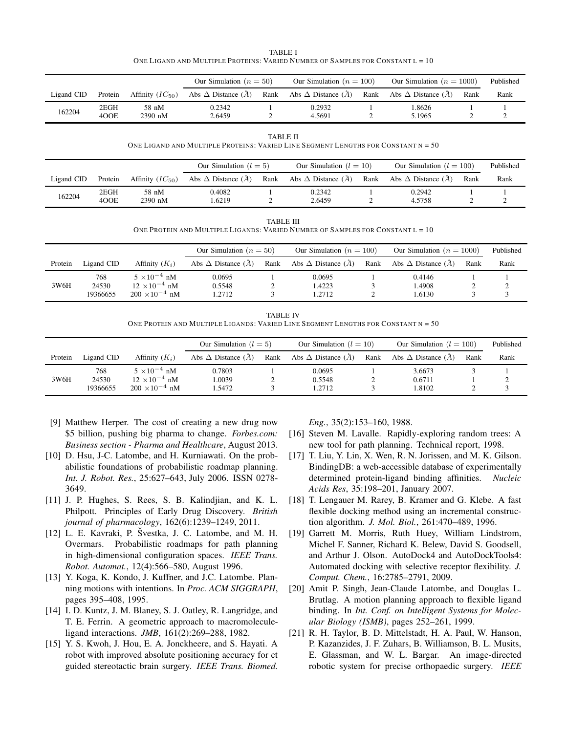| TABLE I                                                                          |  |
|----------------------------------------------------------------------------------|--|
| ONE LIGAND AND MULTIPLE PROTEINS: VARIED NUMBER OF SAMPLES FOR CONSTANT $L = 10$ |  |

<span id="page-4-13"></span>

|            |              |                      | Our Simulation $(n = 50)$           |      | Our Simulation ( $n = 100$ )        |      | Our Simulation ( $n = 1000$ )       |      | Published |
|------------|--------------|----------------------|-------------------------------------|------|-------------------------------------|------|-------------------------------------|------|-----------|
| Ligand CID | Protein      | Affinity $(IC_{50})$ | Abs $\Delta$ Distance $(\tilde{A})$ | Rank | Abs $\Delta$ Distance $(\tilde{A})$ | Rank | Abs $\Delta$ Distance $(\tilde{A})$ | Rank | Rank      |
| 162204     | 2EGH<br>4OOE | 58 nM<br>$2390$ nM   | 0.2342<br>2.6459                    |      | 0.2932<br>4.5691                    |      | 1.8626<br>5.1965                    |      |           |

TABLE II ONE LIGAND AND MULTIPLE PROTEINS: VARIED LINE SEGMENT LENGTHS FOR CONSTANT  $N = 50$ 

<span id="page-4-14"></span>

|            |              |                      | Our Simulation $(l = 5)$    |      | Our Simulation $(l = 10)$   |      | Our Simulation $(l = 100)$          |      | Published |
|------------|--------------|----------------------|-----------------------------|------|-----------------------------|------|-------------------------------------|------|-----------|
| Ligand CID | Protein      | Affinity $(IC_{50})$ | Abs $\Delta$ Distance $(A)$ | Rank | Abs $\Delta$ Distance $(A)$ | Rank | Abs $\Delta$ Distance $(\tilde{A})$ | Rank | Rank      |
| 162204     | 2EGH<br>400E | 58 nM<br>2390 nM     | 0.4082<br>.6219             |      | 0.2342<br>2.6459            |      | 0.2942<br>4.5758                    |      |           |

TABLE III

ONE PROTEIN AND MULTIPLE LIGANDS: VARIED NUMBER OF SAMPLES FOR CONSTANT L = 10

<span id="page-4-15"></span>

|         |              |                                                 | Our Simulation $(n = 50)$   |      | Our Simulation ( $n = 100$ ) |      | Our Simulation ( $n = 1000$ ) |      | Published |
|---------|--------------|-------------------------------------------------|-----------------------------|------|------------------------------|------|-------------------------------|------|-----------|
| Protein | Ligand CID   | Affinity $(K_i)$                                | Abs $\Delta$ Distance $(A)$ | Rank | Abs $\Delta$ Distance $(A)$  | Rank | Abs $\Delta$ Distance $(\AA)$ | Rank | Rank      |
| 3W6H    | 768<br>24530 | $5 \times 10^{-4}$ nM<br>$12 \times 10^{-4}$ nM | 0.0695<br>0.5548            |      | 0.0695<br>1.4223             |      | 0.4146<br>1.4908              |      |           |
|         | 19366655     | $200 \times 10^{-4}$ nM                         | 1.2712                      |      | 1.2712                       |      | 1.6130                        |      |           |

TABLE IV ONE PROTEIN AND MULTIPLE LIGANDS: VARIED LINE SEGMENT LENGTHS FOR CONSTANT N = 50

<span id="page-4-16"></span>

|         |                          |                                                                            | Our Simulation $(l = 5)$      |      | Our Simulation $(l = 10)$   |      | Our Simulation $(l = 100)$            |      | Published |
|---------|--------------------------|----------------------------------------------------------------------------|-------------------------------|------|-----------------------------|------|---------------------------------------|------|-----------|
| Protein | Ligand CID               | Affinity $(K_i)$                                                           | Abs $\Delta$ Distance $(\AA)$ | Rank | Abs $\Delta$ Distance $(A)$ | Rank | Abs $\Delta$ Distance ( $\tilde{A}$ ) | Rank | Rank      |
| 3W6H    | 768<br>24530<br>19366655 | $5 \times 10^{-4}$ nM<br>$12 \times 10^{-4}$ nM<br>$200 \times 10^{-4}$ nM | 0.7803<br>1.0039<br>1.5472    |      | 0.0695<br>0.5548<br>1.2712  |      | 3.6673<br>0.6711<br>1.8102            |      |           |

- <span id="page-4-1"></span>[9] Matthew Herper. The cost of creating a new drug now \$5 billion, pushing big pharma to change. *Forbes.com: Business section - Pharma and Healthcare*, August 2013.
- <span id="page-4-11"></span>[10] D. Hsu, J-C. Latombe, and H. Kurniawati. On the probabilistic foundations of probabilistic roadmap planning. *Int. J. Robot. Res.*, 25:627–643, July 2006. ISSN 0278- 3649.
- <span id="page-4-0"></span>[11] J. P. Hughes, S. Rees, S. B. Kalindjian, and K. L. Philpott. Principles of Early Drug Discovery. *British journal of pharmacology*, 162(6):1239–1249, 2011.
- <span id="page-4-9"></span>[12] L. E. Kavraki, P. Švestka, J. C. Latombe, and M. H. Overmars. Probabilistic roadmaps for path planning in high-dimensional configuration spaces. *IEEE Trans. Robot. Automat.*, 12(4):566–580, August 1996.
- <span id="page-4-8"></span>[13] Y. Koga, K. Kondo, J. Kuffner, and J.C. Latombe. Planning motions with intentions. In *Proc. ACM SIGGRAPH*, pages 395–408, 1995.
- <span id="page-4-2"></span>[14] I. D. Kuntz, J. M. Blaney, S. J. Oatley, R. Langridge, and T. E. Ferrin. A geometric approach to macromoleculeligand interactions. *JMB*, 161(2):269–288, 1982.
- <span id="page-4-6"></span>[15] Y. S. Kwoh, J. Hou, E. A. Jonckheere, and S. Hayati. A robot with improved absolute positioning accuracy for ct guided stereotactic brain surgery. *IEEE Trans. Biomed.*

*Eng.*, 35(2):153–160, 1988.

- <span id="page-4-10"></span>[16] Steven M. Lavalle. Rapidly-exploring random trees: A new tool for path planning. Technical report, 1998.
- <span id="page-4-12"></span>[17] T. Liu, Y. Lin, X. Wen, R. N. Jorissen, and M. K. Gilson. BindingDB: a web-accessible database of experimentally determined protein-ligand binding affinities. *Nucleic Acids Res*, 35:198–201, January 2007.
- <span id="page-4-4"></span>[18] T. Lengauer M. Rarey, B. Kramer and G. Klebe. A fast flexible docking method using an incremental construction algorithm. *J. Mol. Biol.*, 261:470–489, 1996.
- <span id="page-4-3"></span>[19] Garrett M. Morris, Ruth Huey, William Lindstrom, Michel F. Sanner, Richard K. Belew, David S. Goodsell, and Arthur J. Olson. AutoDock4 and AutoDockTools4: Automated docking with selective receptor flexibility. *J. Comput. Chem.*, 16:2785–2791, 2009.
- <span id="page-4-5"></span>[20] Amit P. Singh, Jean-Claude Latombe, and Douglas L. Brutlag. A motion planning approach to flexible ligand binding. In *Int. Conf. on Intelligent Systems for Molecular Biology (ISMB)*, pages 252–261, 1999.
- <span id="page-4-7"></span>[21] R. H. Taylor, B. D. Mittelstadt, H. A. Paul, W. Hanson, P. Kazanzides, J. F. Zuhars, B. Williamson, B. L. Musits, E. Glassman, and W. L. Bargar. An image-directed robotic system for precise orthopaedic surgery. *IEEE*